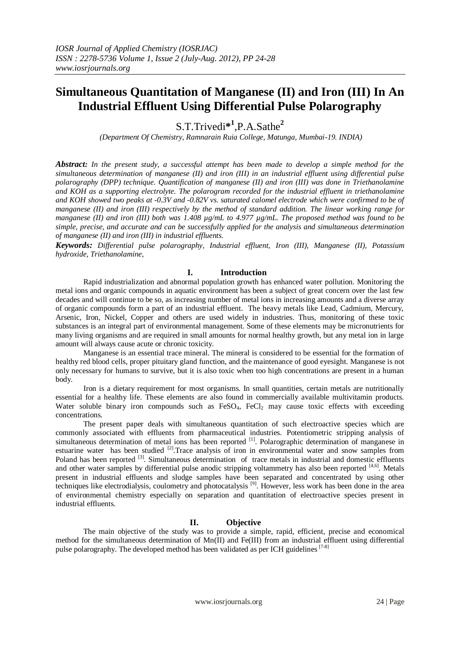# **Simultaneous Quantitation of Manganese (II) and Iron (III) In An Industrial Effluent Using Differential Pulse Polarography**

S.T.Trivedi**\* 1** ,P.A.Sathe**<sup>2</sup>**

*(Department Of Chemistry, Ramnarain Ruia College, Matunga, Mumbai-19. INDIA)*

*Abstract: In the present study, a successful attempt has been made to develop a simple method for the simultaneous determination of manganese (II) and iron (III) in an industrial effluent using differential pulse polarography (DPP) technique. Quantification of manganese (II) and iron (III) was done in Triethanolamine and KOH as a supporting electrolyte. The polarogram recorded for the industrial effluent in triethanolamine and KOH showed two peaks at -0.3V and -0.82V vs. saturated calomel electrode which were confirmed to be of manganese (II) and iron (III) respectively by the method of standard addition. The linear working range for manganese (II) and iron (III) both was 1.408 µg/mL to 4.977 µg/mL. The proposed method was found to be simple, precise, and accurate and can be successfully applied for the analysis and simultaneous determination of manganese (II) and iron (III) in industrial effluents.*

*Keywords: Differential pulse polarography, Industrial effluent, Iron (III), Manganese (II), Potassium hydroxide, Triethanolamine,* 

# **I. Introduction**

Rapid industrialization and abnormal population growth has enhanced water pollution. Monitoring the metal ions and organic compounds in aquatic environment has been a subject of great concern over the last few decades and will continue to be so, as increasing number of metal ions in increasing amounts and a diverse array of organic compounds form a part of an industrial effluent. The heavy metals like Lead, Cadmium, Mercury, Arsenic, Iron, Nickel, Copper and others are used widely in industries. Thus, monitoring of these toxic substances is an integral part of environmental management. Some of these elements may be micronutrients for many living organisms and are required in small amounts for normal healthy growth, but any metal ion in large amount will always cause acute or chronic toxicity.

Manganese is an essential trace mineral. The mineral is considered to be essential for the formation of healthy red blood cells, proper pituitary gland function, and the maintenance of good eyesight. Manganese is not only necessary for humans to survive, but it is also toxic when too high concentrations are present in a human body.

Iron is a dietary requirement for most organisms. In small quantities, certain metals are nutritionally essential for a healthy life. These elements are also found in commercially available multivitamin products. Water soluble binary iron compounds such as  $FeSO<sub>4</sub>$ ,  $FeCl<sub>2</sub>$  may cause toxic effects with exceeding concentrations.

The present paper deals with simultaneous quantitation of such electroactive species which are commonly associated with effluents from pharmaceutical industries. Potentiometric stripping analysis of simultaneous determination of metal ions has been reported <sup>[1]</sup>. Polarographic determination of manganese in estuarine water has been studied <sup>[2]</sup>. Trace analysis of iron in environmental water and snow samples from Poland has been reported <sup>[3]</sup>. Simultaneous determination of trace metals in industrial and domestic effluents and other water samples by differential pulse anodic stripping voltammetry has also been reported [4,6]. Metals present in industrial effluents and sludge samples have been separated and concentrated by using other techniques like electrodialysis, coulometry and photocatalysis <sup>[9]</sup>. However, less work has been done in the area of environmental chemistry especially on separation and quantitation of electroactive species present in industrial effluents.

# **II. Objective**

The main objective of the study was to provide a simple, rapid, efficient, precise and economical method for the simultaneous determination of Mn(II) and Fe(III) from an industrial effluent using differential pulse polarography. The developed method has been validated as per ICH guidelines [7-8]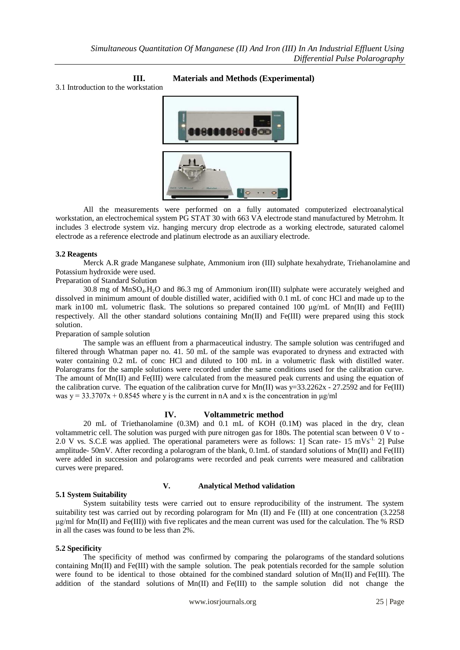# **III. Materials and Methods (Experimental)**

3.1 Introduction to the workstation



All the measurements were performed on a fully automated computerized electroanalytical workstation, an electrochemical system PG STAT 30 with 663 VA electrode stand manufactured by Metrohm. It includes 3 electrode system viz. hanging mercury drop electrode as a working electrode, saturated calomel electrode as a reference electrode and platinum electrode as an auxiliary electrode.

#### **3.2 Reagents**

Merck A.R grade Manganese sulphate, Ammonium iron (III) sulphate hexahydrate, Triehanolamine and Potassium hydroxide were used.

# Preparation of Standard Solution

30.8 mg of MnSO4.H2O and 86.3 mg of Ammonium iron(III) sulphate were accurately weighed and dissolved in minimum amount of double distilled water, acidified with 0.1 mL of conc HCl and made up to the mark in100 mL volumetric flask. The solutions so prepared contained 100  $\mu$ g/mL of Mn(II) and Fe(III) respectively. All the other standard solutions containing Mn(II) and Fe(III) were prepared using this stock solution.

Preparation of sample solution

The sample was an effluent from a pharmaceutical industry. The sample solution was centrifuged and filtered through Whatman paper no. 41. 50 mL of the sample was evaporated to dryness and extracted with water containing 0.2 mL of conc HCl and diluted to 100 mL in a volumetric flask with distilled water. Polarograms for the sample solutions were recorded under the same conditions used for the calibration curve. The amount of Mn(II) and Fe(III) were calculated from the measured peak currents and using the equation of the calibration curve. The equation of the calibration curve for Mn(II) was  $y=33.2262x - 27.2592$  and for Fe(III) was  $y = 33.3707x + 0.8545$  where y is the current in nA and x is the concentration in  $\mu$ g/ml

# **IV. Voltammetric method**

20 mL of Triethanolamine (0.3M) and 0.1 mL of KOH (0.1M) was placed in the dry, clean voltammetric cell. The solution was purged with pure nitrogen gas for 180s. The potential scan between 0 V to - 2.0 V vs. S.C.E was applied. The operational parameters were as follows: 1] Scan rate- 15 mVs<sup>-1.</sup> 2] Pulse amplitude- 50mV. After recording a polarogram of the blank, 0.1mL of standard solutions of Mn(II) and Fe(III) were added in succession and polarograms were recorded and peak currents were measured and calibration curves were prepared.

# **5.1 System Suitability**

# **V. Analytical Method validation**

System suitability tests were carried out to ensure reproducibility of the instrument. The system suitability test was carried out by recording polarogram for Mn (II) and Fe (III) at one concentration (3.2258 μg/ml for Mn(II) and Fe(III)) with five replicates and the mean current was used for the calculation. The % RSD in all the cases was found to be less than 2%.

# **5.2 Specificity**

The specificity of method was confirmed by comparing the polarograms of the standard solutions containing  $Mn(\text{II})$  and Fe $(\text{III})$  with the sample solution. The peak potentials recorded for the sample solution were found to be identical to those obtained for the combined standard solution of Mn(II) and Fe(III). The addition of the standard solutions of Mn(II) and Fe(III) to the sample solution did not change the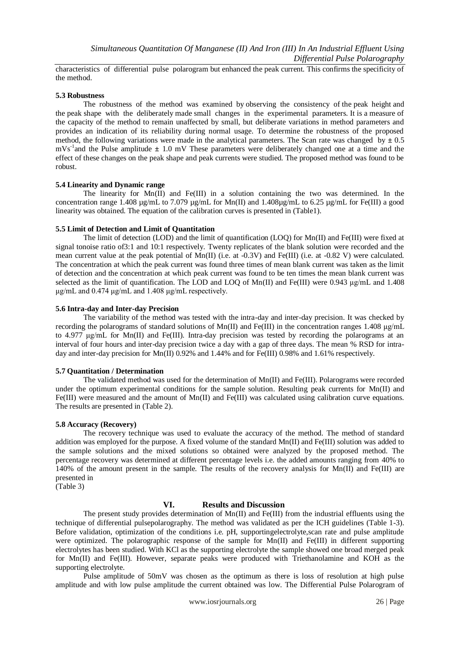characteristics of differential pulse polarogram but enhanced the peak current. This confirms the specificity of the method.

#### **5.3 Robustness**

The robustness of the method was examined by observing the consistency of the peak height and the peak shape with the deliberately made small changes in the experimental parameters. It is a measure of the capacity of the method to remain unaffected by small, but deliberate variations in method parameters and provides an indication of its reliability during normal usage. To determine the robustness of the proposed method, the following variations were made in the analytical parameters. The Scan rate was changed  $\bar{b}y \pm 0.5$ mVs-1 and the Pulse amplitude **±** 1.0 mV These parameters were deliberately changed one at a time and the effect of these changes on the peak shape and peak currents were studied. The proposed method was found to be robust.

#### **5.4 Linearity and Dynamic range**

The linearity for  $Mn(II)$  and Fe(III) in a solution containing the two was determined. In the concentration range 1.408 µg/mL to 7.079 µg/mL for Mn(II) and 1.408µg/mL to 6.25 µg/mL for Fe(III) a good linearity was obtained. The equation of the calibration curves is presented in (Table1).

#### **5.5 Limit of Detection and Limit of Quantitation**

The limit of detection (LOD) and the limit of quantification (LOQ) for Mn(II) and Fe(III) were fixed at signal tonoise ratio of3:1 and 10:1 respectively. Twenty replicates of the blank solution were recorded and the mean current value at the peak potential of  $Mn(\Pi)$  (i.e. at -0.3V) and Fe(III) (i.e. at -0.82 V) were calculated. The concentration at which the peak current was found three times of mean blank current was taken as the limit of detection and the concentration at which peak current was found to be ten times the mean blank current was selected as the limit of quantification. The LOD and LOQ of  $Mn(II)$  and Fe(III) were 0.943 μg/mL and 1.408 μg/mL and 0.474 μg/mL and 1.408 μg/mL respectively.

#### **5.6 Intra-day and Inter-day Precision**

The variability of the method was tested with the intra-day and inter-day precision. It was checked by recording the polarograms of standard solutions of Mn(II) and Fe(III) in the concentration ranges 1.408 μg/mL to 4.977 μg/mL for Mn(II) and Fe(III). Intra-day precision was tested by recording the polarograms at an interval of four hours and inter-day precision twice a day with a gap of three days. The mean % RSD for intraday and inter-day precision for Mn(II) 0.92% and 1.44% and for Fe(III) 0.98% and 1.61% respectively.

# **5.7 Quantitation / Determination**

The validated method was used for the determination of Mn(II) and Fe(III). Polarograms were recorded under the optimum experimental conditions for the sample solution. Resulting peak currents for Mn(II) and Fe(III) were measured and the amount of Mn(II) and Fe(III) was calculated using calibration curve equations. The results are presented in (Table 2).

#### **5.8 Accuracy (Recovery)**

The recovery technique was used to evaluate the accuracy of the method. The method of standard addition was employed for the purpose. A fixed volume of the standard Mn(II) and Fe(III) solution was added to the sample solutions and the mixed solutions so obtained were analyzed by the proposed method. The percentage recovery was determined at different percentage levels i.e. the added amounts ranging from 40% to 140% of the amount present in the sample. The results of the recovery analysis for Mn(II) and Fe(III) are presented in (Table 3)

# **VI. Results and Discussion**

The present study provides determination of  $Mn(II)$  and  $Fe(III)$  from the industrial effluents using the technique of differential pulsepolarography. The method was validated as per the ICH guidelines (Table 1-3). Before validation, optimization of the conditions i.e. pH, supportingelectrolyte,scan rate and pulse amplitude were optimized. The polarographic response of the sample for Mn(II) and Fe(III) in different supporting electrolytes has been studied. With KCl as the supporting electrolyte the sample showed one broad merged peak for Mn(II) and Fe(III). However, separate peaks were produced with Triethanolamine and KOH as the supporting electrolyte.

Pulse amplitude of 50mV was chosen as the optimum as there is loss of resolution at high pulse amplitude and with low pulse amplitude the current obtained was low. The Differential Pulse Polarogram of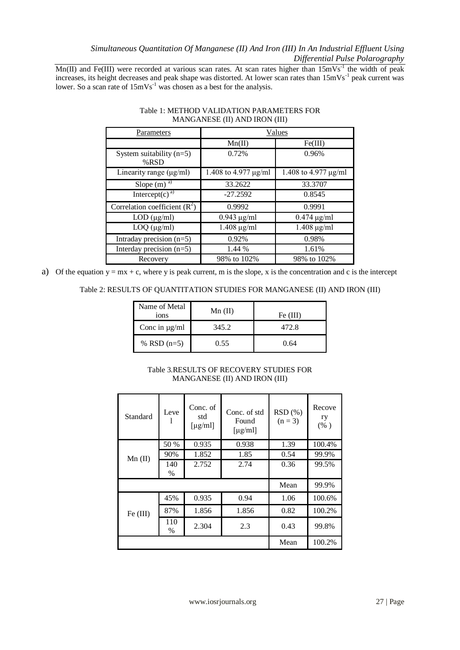# *Simultaneous Quantitation Of Manganese (II) And Iron (III) In An Industrial Effluent Using Differential Pulse Polarography*

 $Mn(II)$  and Fe(III) were recorded at various scan rates. At scan rates higher than  $15mVs^{-1}$  the width of peak increases, its height decreases and peak shape was distorted. At lower scan rates than  $15 \text{mVs}^{-1}$  peak current was lower. So a scan rate of  $15 \text{mVs}^{-1}$  was chosen as a best for the analysis.

| Parameters                            | Values                    |                      |  |
|---------------------------------------|---------------------------|----------------------|--|
|                                       | Mn(II)                    | Fe(III)              |  |
| System suitability $(n=5)$<br>$%$ RSD | 0.72%                     | 0.96%                |  |
| Linearity range $(\mu g/ml)$          | 1.408 to 4.977 $\mu$ g/ml | 1.408 to 4.977 µg/ml |  |
| Slope $(m)^{\overline{a}}$            | 33.2622                   | 33.3707              |  |
| Intercept $(c)$ <sup>a)</sup>         | $-27.2592$                | 0.8545               |  |
| Correlation coefficient $(R^2)$       | 0.9992                    | 0.9991               |  |
| $LOD$ ( $\mu$ g/ml)                   | $0.943 \mu g/ml$          | $0.474 \mu g/ml$     |  |
| $LOQ$ ( $\mu$ g/ml)                   | $1.408 \mu g/ml$          | $1.408 \mu g/ml$     |  |
| Intraday precision $(n=5)$            | 0.92%<br>0.98%            |                      |  |
| Interday precision $(n=5)$            | 1.44 %                    | 1.61%                |  |
| Recovery                              | 98% to 102%               | 98% to 102%          |  |

#### Table 1: METHOD VALIDATION PARAMETERS FOR MANGANESE (II) AND IRON (III)

a) Of the equation  $y = mx + c$ , where y is peak current, m is the slope, x is the concentration and c is the intercept

# Table 2: RESULTS OF QUANTITATION STUDIES FOR MANGANESE (II) AND IRON (III)

| Name of Metal<br>ions | $Mn$ (II) | Fe (III) |  |
|-----------------------|-----------|----------|--|
| Conc in $\mu$ g/ml    | 345.2     | 472.8    |  |
| % RSD $(n=5)$         | 0.55      | 0.64     |  |

# Table 3.RESULTS OF RECOVERY STUDIES FOR MANGANESE (II) AND IRON (III)

| Standard  | Leve     | Conc. of<br>std<br>$\lceil \mu g/ml \rceil$ | Conc. of std.<br>Found<br>$\lceil \mu g/m \rceil$ | RSD(%)<br>$(n = 3)$ | Recove<br>ry<br>$(\% )$ |
|-----------|----------|---------------------------------------------|---------------------------------------------------|---------------------|-------------------------|
| $Mn$ (II) | 50 %     | 0.935                                       | 0.938                                             | 1.39                | 100.4%                  |
|           | 90%      | 1.852                                       | 1.85                                              | 0.54                | 99.9%                   |
|           | 140      | 2.752                                       | 2.74                                              | 0.36                | 99.5%                   |
|           | %        |                                             |                                                   |                     |                         |
|           |          |                                             |                                                   | Mean                | 99.9%                   |
| Fe (III)  | 45%      | 0.935                                       | 0.94                                              | 1.06                | 100.6%                  |
|           | 87%      | 1.856                                       | 1.856                                             | 0.82                | 100.2%                  |
|           | 110<br>% | 2.304                                       | 2.3                                               | 0.43                | 99.8%                   |
|           |          |                                             | Mean                                              | 100.2%              |                         |